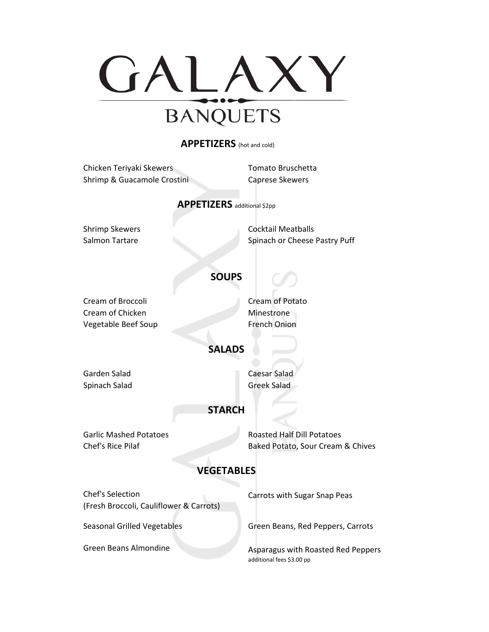

#### **APPETIZERS** (hot and cold)

|                                    | Chicken Teriyaki Skewers                | <b>Tomato Bruschetta</b>           |
|------------------------------------|-----------------------------------------|------------------------------------|
|                                    | Shrimp & Guacamole Crostini             | <b>Caprese Skewers</b>             |
|                                    |                                         |                                    |
| <b>APPETIZERS</b> additional \$2pp |                                         |                                    |
|                                    |                                         |                                    |
|                                    | <b>Shrimp Skewers</b>                   | <b>Cocktail Meatballs</b>          |
|                                    | Salmon Tartare                          | Spinach or Cheese Pastry Puff      |
|                                    |                                         |                                    |
|                                    | <b>SOUPS</b>                            |                                    |
|                                    |                                         |                                    |
|                                    | Cream of Broccoli                       | Cream of Potato                    |
|                                    | Cream of Chicken                        | Minestrone                         |
|                                    | Vegetable Beef Soup                     | <b>French Onion</b>                |
|                                    |                                         |                                    |
| <b>SALADS</b>                      |                                         |                                    |
|                                    |                                         |                                    |
|                                    | Garden Salad                            | Caesar Salad                       |
|                                    | Spinach Salad                           | <b>Greek Salad</b>                 |
|                                    |                                         |                                    |
|                                    | <b>STARCH</b>                           |                                    |
|                                    | <b>Garlic Mashed Potatoes</b>           | <b>Roasted Half Dill Potatoes</b>  |
|                                    | Chef's Rice Pilaf                       |                                    |
|                                    |                                         | Baked Potato, Sour Cream & Chives  |
| <b>VEGETABLES</b>                  |                                         |                                    |
|                                    |                                         |                                    |
|                                    | Chef's Selection                        | Carrots with Sugar Snap Peas       |
|                                    | (Fresh Broccoli, Cauliflower & Carrots) |                                    |
|                                    |                                         |                                    |
|                                    | Seasonal Grilled Vegetables             | Green Beans, Red Peppers, Carrots  |
|                                    | <b>Green Beans Almondine</b>            | Asparagus with Roasted Red Peppers |
|                                    |                                         | additional fees \$3.00 pp          |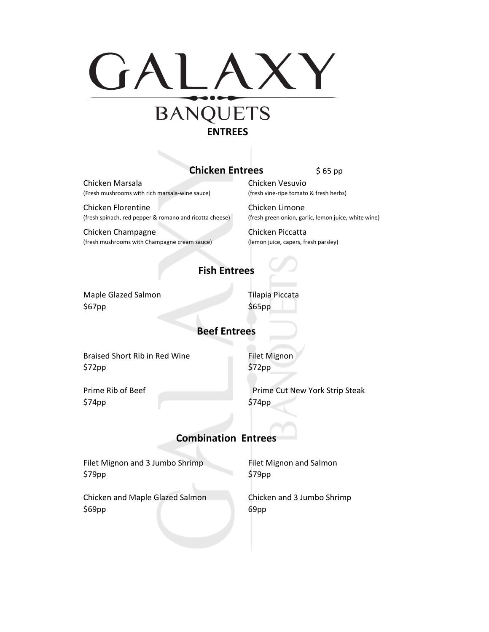

# **Chicken Entrees**

\$ 65 pp

Chicken Marsala (Fresh mushrooms with rich marsala-wine sauce)

Chicken Florentine (fresh spinach, red pepper & romano and ricotta cheese)

Chicken Champagne (fresh mushrooms with Champagne cream sauce) Chicken Vesuvio (fresh vine-ripe tomato & fresh herbs)

Chicken Limone (fresh green onion, garlic, lemon juice, white wine)

Chicken Piccatta (lemon juice, capers, fresh parsley)

# **Fish Entrees**

 $$67pp$   $$65pp$ Maple Glazed Salmon Tilapia Piccata

### **Beef Entrees**

Braised Short Rib in Red Wine \$72pp

Filet Mignon \$72pp

Prime Rib of Beef \$74pp

Prime Cut New York Strip Steak \$74pp

# **Combination Entrees**

\$79pp Filet Mignon and 3 Jumbo Shrimp

\$69pp Chicken and Maple Glazed Salmon Filet Mignon and Salmon \$79pp

Chicken and 3 Jumbo Shrimp 69pp